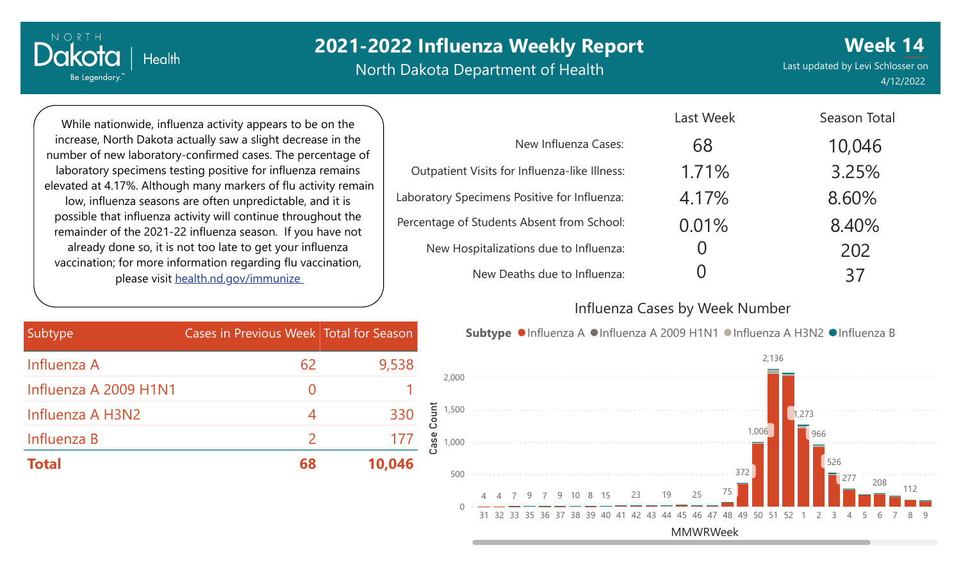North Dakota Department of Health

Last updated by Levi Schlosser on 4/12/2022

**Week 14**

Season Total

While nationwide, influenza activity appears to be on the increase, North Dakota actually saw a slight decrease in the number of new laboratory-confirmed cases. The percentage of laboratory specimens testing positive for influenza remains elevated at 4.17%. Although many markers of flu activity remain low, influenza seasons are often unpredictable, and it is possible that influenza activity will continue throughout the remainder of the 2021-22 influenza season. If you have not already done so, it is not too late to get your influenza vaccination; for more information regarding flu vaccination, please visit [health.nd.gov/immunize](http://health.nd.gov/immunize)

**Health** 

NORTH

Dakota

Be Legendary.

|                                               | Last week | Season Total |
|-----------------------------------------------|-----------|--------------|
| New Influenza Cases:                          | 68        | 10,046       |
| Outpatient Visits for Influenza-like Illness: | 1.71%     | 3.25%        |
| Laboratory Specimens Positive for Influenza:  | 4.17%     | 8.60%        |
| Percentage of Students Absent from School:    | 0.01%     | 8.40%        |
| New Hospitalizations due to Influenza:        |           | 202          |
| New Deaths due to Influenza:                  |           | 37           |

### Influenza Cases by Week Number

 $L = L \cdot M / L = L$ 

| Subtype               | Cases in Previous Week Total for Season |        |
|-----------------------|-----------------------------------------|--------|
| Influenza A           | 62                                      | 9,538  |
| Influenza A 2009 H1N1 | $\left( \right)$                        |        |
| Influenza A H3N2      | 4                                       | 330    |
| Influenza B           |                                         | 177    |
| <b>Total</b>          | 68                                      | 10,046 |

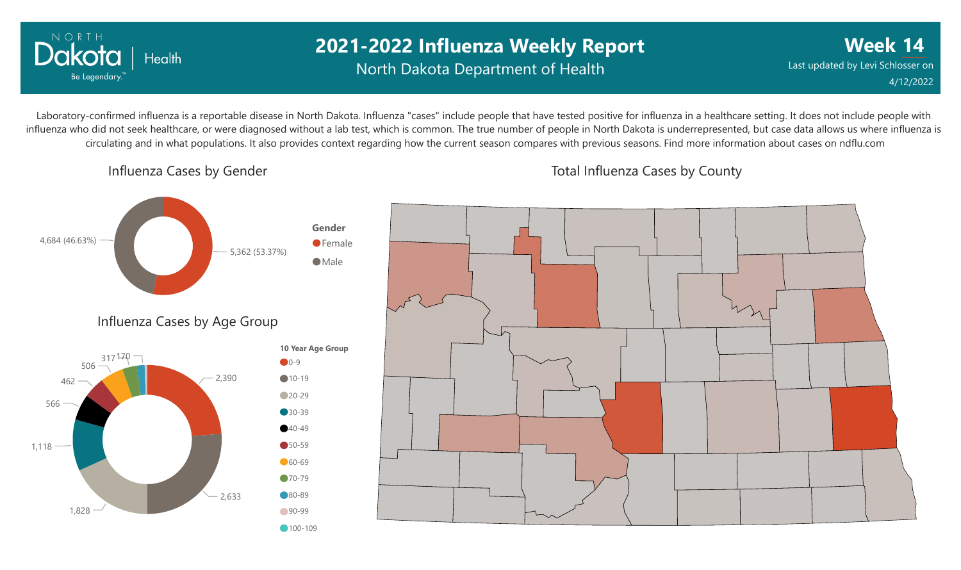

## **2021-2022 Influenza Weekly Report** North Dakota Department of Health

**Week 14** Last updated by Levi Schlosser on 4/12/2022

Laboratory-confirmed influenza is a reportable disease in North Dakota. Influenza "cases" include people that have tested positive for influenza in a healthcare setting. It does not include people with influenza who did not seek healthcare, or were diagnosed without a lab test, which is common. The true number of people in North Dakota is underrepresented, but case data allows us where influenza is circulating and in what populations. It also provides context regarding how the current season compares with previous seasons. Find more information about cases on ndflu.com

Influenza Cases by Gender

Total Influenza Cases by County

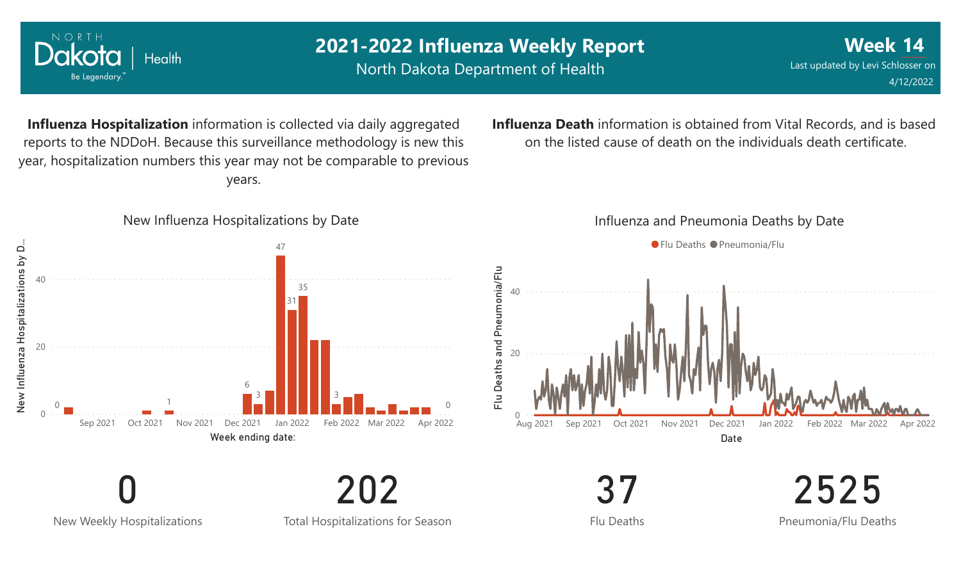

0 New Weekly Hospitalizations

Total Hospitalizations for Season

202

Flu Deaths

2525 Pneumonia/Flu Deaths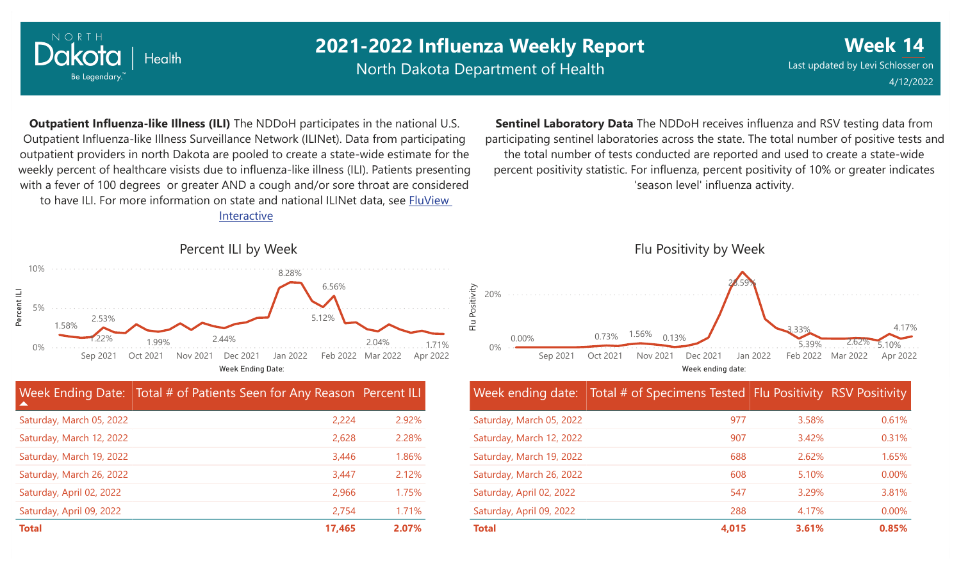

North Dakota Department of Health

**Week** Last updated by Levi Schlosser on **14** 4/12/2022

**Outpatient Influenza-like Illness (ILI)** The NDDoH participates in the national U.S. Outpatient Influenza-like Illness Surveillance Network (ILINet). Data from participating outpatient providers in north Dakota are pooled to create a state-wide estimate for the weekly percent of healthcare visists due to influenza-like illness (ILI). Patients presenting with a fever of 100 degrees or greater AND a cough and/or sore throat are considered to have ILI. For more information [on state and national ILINet data, see FluView](http://fluview%20interactive/)

Interactive

participating sentinel laboratories across the state. The total number of positive tests and the total number of tests conducted are reported and used to create a state-wide percent positivity statistic. For influenza, percent positivity of 10% or greater indicates 'season level' influenza activity.

**Sentinel Laboratory Data** The NDDoH receives influenza and RSV testing data from



| $\blacktriangle$         | Week Ending Date: Total # of Patients Seen for Any Reason Percent ILI |       |
|--------------------------|-----------------------------------------------------------------------|-------|
| Saturday, March 05, 2022 | 2,224                                                                 | 2.92% |
| Saturday, March 12, 2022 | 2,628                                                                 | 2.28% |
| Saturday, March 19, 2022 | 3,446                                                                 | 1.86% |
| Saturday, March 26, 2022 | 3,447                                                                 | 2.12% |
| Saturday, April 02, 2022 | 2,966                                                                 | 1.75% |
| Saturday, April 09, 2022 | 2,754                                                                 | 1.71% |
| <b>Total</b>             | 17,465                                                                | 2.07% |



|                          | Week ending date: Total # of Specimens Tested Flu Positivity RSV Positivity |       |       |
|--------------------------|-----------------------------------------------------------------------------|-------|-------|
| Saturday, March 05, 2022 | 977                                                                         | 3.58% | 0.61% |
| Saturday, March 12, 2022 | 907                                                                         | 3.42% | 0.31% |
| Saturday, March 19, 2022 | 688                                                                         | 2.62% | 1.65% |
| Saturday, March 26, 2022 | 608                                                                         | 5.10% | 0.00% |
| Saturday, April 02, 2022 | 547                                                                         | 3.29% | 3.81% |
| Saturday, April 09, 2022 | 288                                                                         | 4.17% | 0.00% |
| <b>Total</b>             | 4,015                                                                       | 3.61% | 0.85% |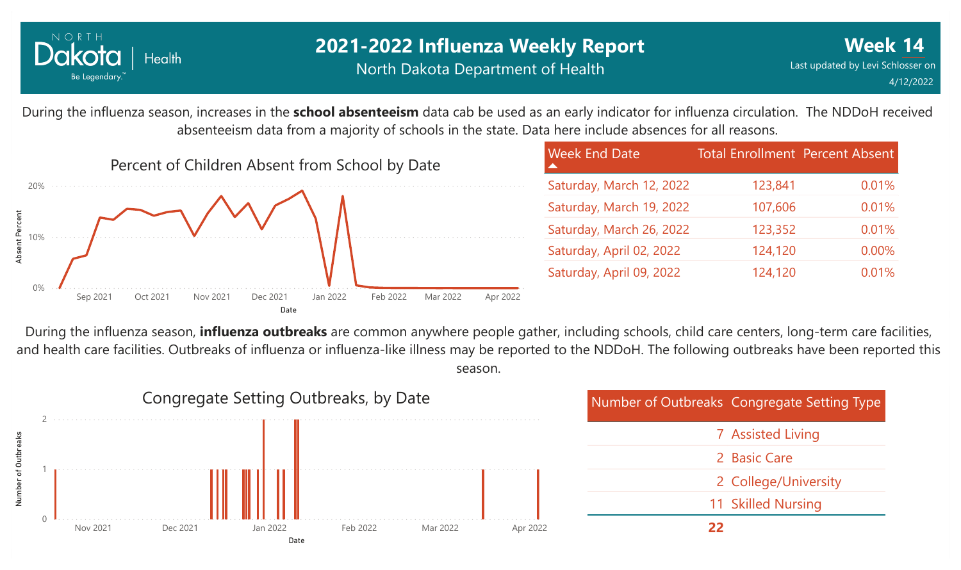

## **2021-2022 Influenza Weekly Report** North Dakota Department of Health

During the influenza season, increases in the **school absenteeism** data cab be used as an early indicator for influenza circulation. The NDDoH received absenteeism data from a majority of schools in the state. Data here include absences for all reasons.



| <b>Week End Date</b>     | <b>Total Enrollment Percent Absent</b> |       |
|--------------------------|----------------------------------------|-------|
| Saturday, March 12, 2022 | 123,841                                | 0.01% |
| Saturday, March 19, 2022 | 107,606                                | 0.01% |
| Saturday, March 26, 2022 | 123,352                                | 0.01% |
| Saturday, April 02, 2022 | 124,120                                | 0.00% |
| Saturday, April 09, 2022 | 124,120                                | 0.01% |

During the influenza season, **influenza outbreaks** are common anywhere people gather, including schools, child care centers, long-term care facilities, and health care facilities. Outbreaks of influenza or influenza-like illness may be reported to the NDDoH. The following outbreaks have been reported this season.

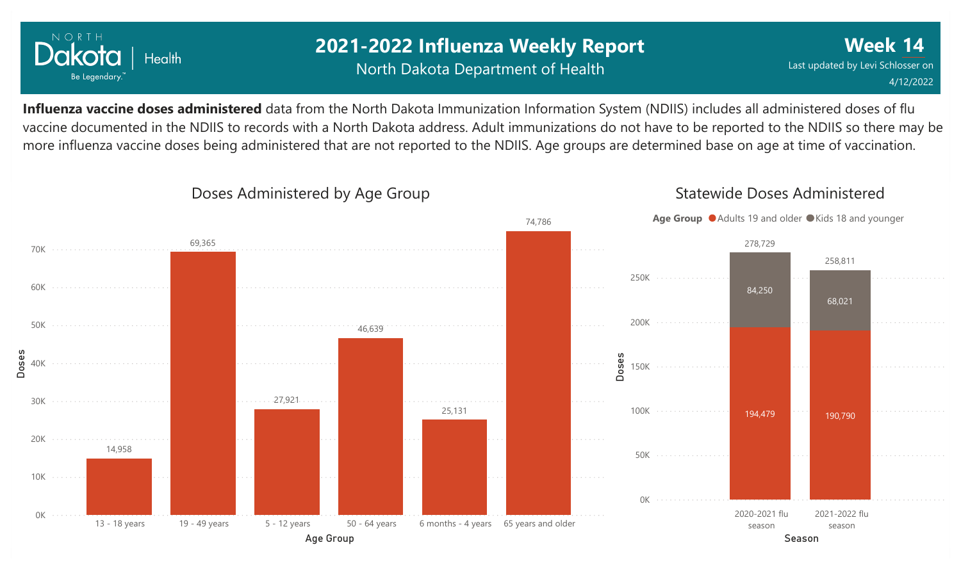

## **2021-2022 Influenza Weekly Report** North Dakota Department of Health

**Week 14** Last updated by Levi Schlosser on 4/12/2022

**Influenza vaccine doses administered** data from the North Dakota Immunization Information System (NDIIS) includes all administered doses of flu vaccine documented in the NDIIS to records with a North Dakota address. Adult immunizations do not have to be reported to the NDIIS so there may be more influenza vaccine doses being administered that are not reported to the NDIIS. Age groups are determined base on age at time of vaccination.



### Doses Administered by Age Group

Statewide Doses Administered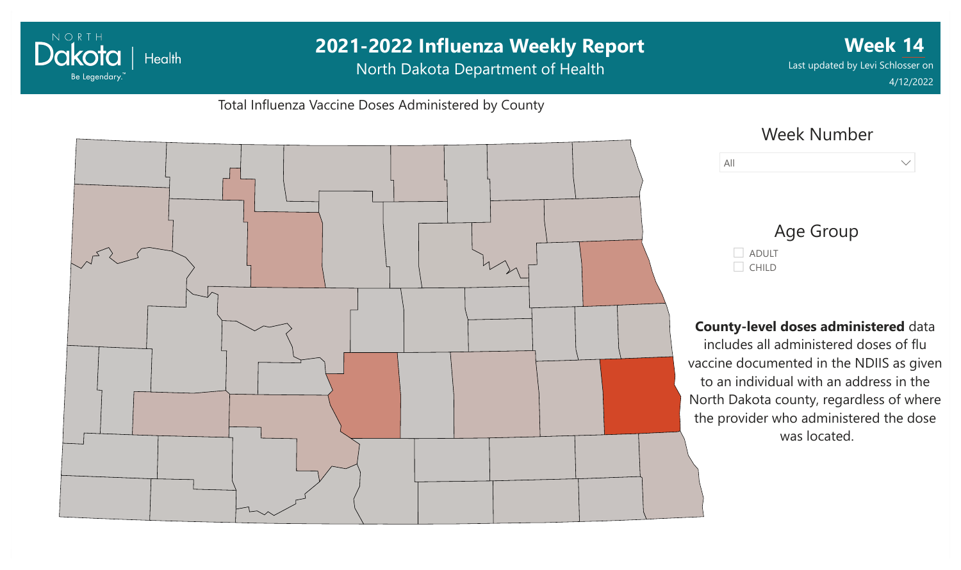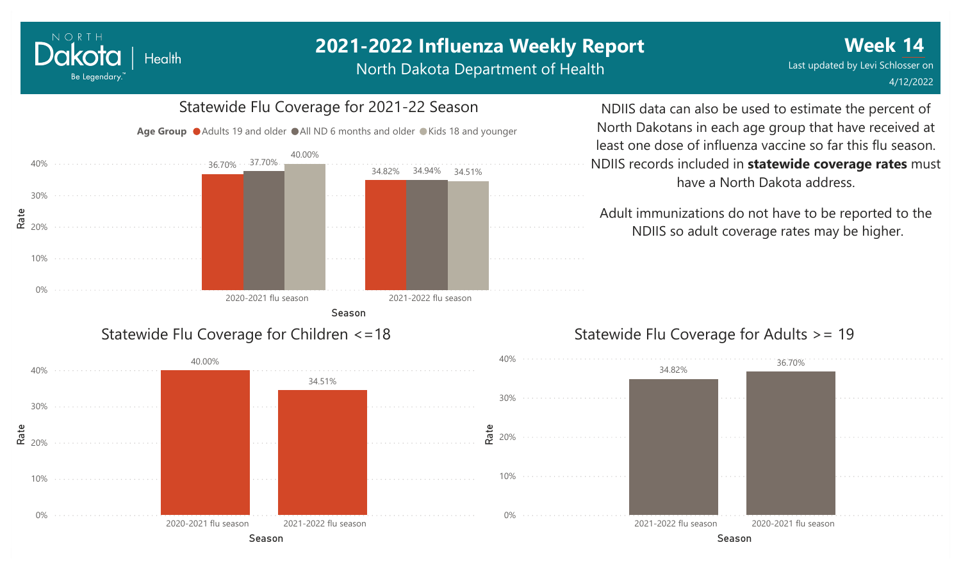North Dakota Department of Health



Statewide Flu Coverage for 2021-22 Season

### NDIIS data can also be used to estimate the percent of North Dakotans in each age group that have received at least one dose of influenza vaccine so far this flu season. NDIIS records included in **statewide coverage rates** must have a North Dakota address.

Adult immunizations do not have to be reported to the NDIIS so adult coverage rates may be higher.

### Statewide Flu Coverage for Children <=18

NORTH

Dakota

Be Legendary.

**Health** 



#### Statewide Flu Coverage for Adults >= 19